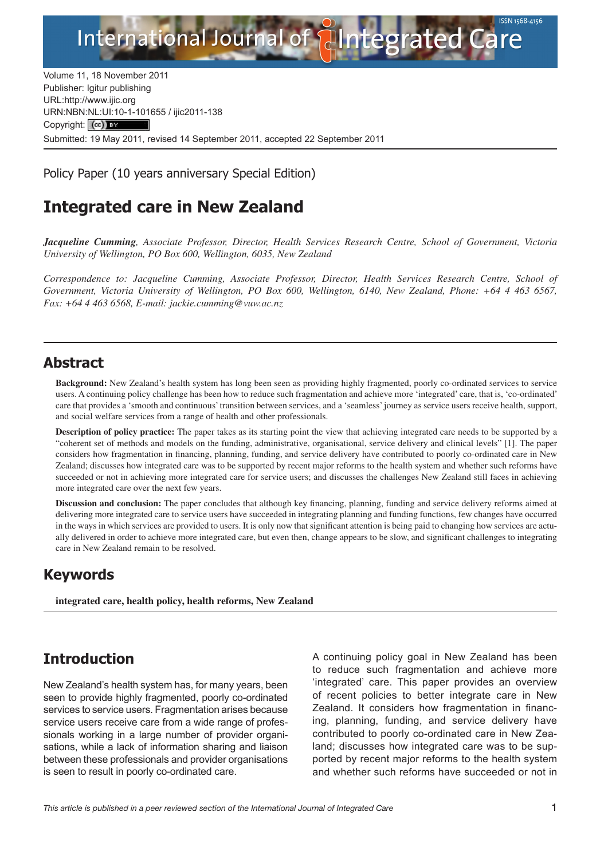

Volume 11, 18 November 2011 Publisher: Igitur publishing URL[:http://www.ijic.org](http://www.ijic.org) URN:NBN[:NL:UI:10-1-1016](http://creativecommons.org/licenses/by/3.0/)55 / ijic2011-138 Copyright: (cc) BY Submitted: 19 May 2011, revised 14 September 2011, accepted 22 September 2011

Policy Paper (10 years anniversary Special Edition)

# **Integrated care in New Zealand**

*Jacqueline Cumming, Associate Professor, Director, Health Services Research Centre, School of Government, Victoria University of Wellington, PO Box 600, Wellington, 6035, New Zealand*

*Correspondence to: Jacqueline Cumming, Associate Professor, Director, Health Services Research Centre, School of Government, Victoria University of Wellington, PO Box 600, Wellington, 6140, New Zealand, Phone: +64 4 463 6567, Fax: +64 4 463 6568, E-mail: [jackie.cumming@vuw.ac.nz](mailto:jackie.cumming@vuw.ac.nz)*

## **Abstract**

**Background:** New Zealand's health system has long been seen as providing highly fragmented, poorly co-ordinated services to service users. A continuing policy challenge has been how to reduce such fragmentation and achieve more 'integrated' care, that is, 'co-ordinated' care that provides a 'smooth and continuous' transition between services, and a 'seamless' journey as service users receive health, support, and social welfare services from a range of health and other professionals.

**Description of policy practice:** The paper takes as its starting point the view that achieving integrated care needs to be supported by a "coherent set of methods and models on the funding, administrative, organisational, service delivery and clinical levels" [1]. The paper considers how fragmentation in financing, planning, funding, and service delivery have contributed to poorly co-ordinated care in New Zealand; discusses how integrated care was to be supported by recent major reforms to the health system and whether such reforms have succeeded or not in achieving more integrated care for service users; and discusses the challenges New Zealand still faces in achieving more integrated care over the next few years.

**Discussion and conclusion:** The paper concludes that although key financing, planning, funding and service delivery reforms aimed at delivering more integrated care to service users have succeeded in integrating planning and funding functions, few changes have occurred in the ways in which services are provided to users. It is only now that significant attention is being paid to changing how services are actually delivered in order to achieve more integrated care, but even then, change appears to be slow, and significant challenges to integrating care in New Zealand remain to be resolved.

# **Keywords**

**integrated care, health policy, health reforms, New Zealand**

# **Introduction**

New Zealand's health system has, for many years, been seen to provide highly fragmented, poorly co-ordinated services to service users. Fragmentation arises because service users receive care from a wide range of professionals working in a large number of provider organisations, while a lack of information sharing and liaison between these professionals and provider organisations is seen to result in poorly co-ordinated care.

A continuing policy goal in New Zealand has been to reduce such fragmentation and achieve more 'integrated' care. This paper provides an overview of recent policies to better integrate care in New Zealand. It considers how fragmentation in financing, planning, funding, and service delivery have contributed to poorly co-ordinated care in New Zealand; discusses how integrated care was to be supported by recent major reforms to the health system and whether such reforms have succeeded or not in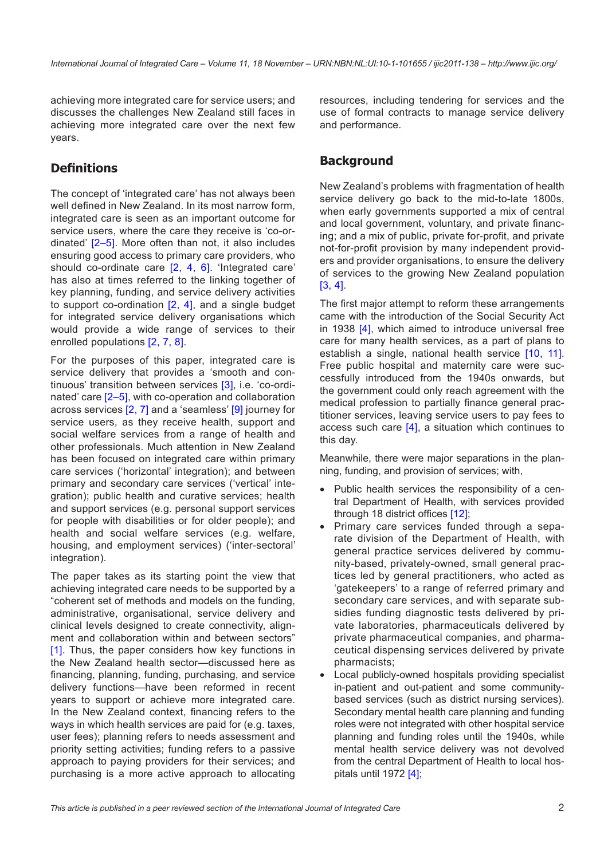achieving more integrated care for service users; and discusses the challenges New Zealand still faces in achieving more integrated care over the next few years.

#### **Definitions**

The concept of 'integrated care' has not always been well defined in New Zealand. In its most narrow form, integrated care is seen as an important outcome for service users, where the care they receive is 'co-ordinated' [\[2](#page-10-0)–[5\]](#page-10-0). More often than not, it also includes ensuring good access to primary care providers, who should co-ordinate care [[2](#page-10-0), [4,](#page-10-0) [6\]](#page-10-0). 'Integrated care' has also at times referred to the linking together of key planning, funding, and service delivery activities to support co-ordination  $[2, 4]$  $[2, 4]$  $[2, 4]$ , and a single budget for integrated service delivery organisations which would provide a wide range of services to their enrolled populations [[2,](#page-10-0) [7](#page-10-0), [8\]](#page-10-0).

For the purposes of this paper, integrated care is service delivery that provides a 'smooth and continuous' transition between services [[3](#page-10-0)], i.e. 'co-ordinated' care [\[2–5](#page-10-0)], with co-operation and collaboration across services [[2, 7\]](#page-10-0) and a 'seamless' [[9](#page-10-0)] journey for service users, as they receive health, support and social welfare services from a range of health and other professionals. Much attention in New Zealand has been focused on integrated care within primary care services ('horizontal' integration); and between primary and secondary care services ('vertical' integration); public health and curative services; health and support services (e.g. personal support services for people with disabilities or for older people); and health and social welfare services (e.g. welfare, housing, and employment services) ('inter-sectoral' integration).

The paper takes as its starting point the view that achieving integrated care needs to be supported by a "coherent set of methods and models on the funding, administrative, organisational, service delivery and clinical levels designed to create connectivity, alignment and collaboration within and between sectors" [\[1](#page-10-0)]. Thus, the paper considers how key functions in the New Zealand health sector—discussed here as financing, planning, funding, purchasing, and service delivery functions—have been reformed in recent years to support or achieve more integrated care. In the New Zealand context, financing refers to the ways in which health services are paid for (e.g. taxes, user fees); planning refers to needs assessment and priority setting activities; funding refers to a passive approach to paying providers for their services; and purchasing is a more active approach to allocating resources, including tendering for services and the use of formal contracts to manage service delivery and performance.

### **Background**

New Zealand's problems with fragmentation of health service delivery go back to the mid-to-late 1800s, when early governments supported a mix of central and local government, voluntary, and private financing; and a mix of public, private for-profit, and private not-for-profit provision by many independent providers and provider organisations, to ensure the delivery of services to the growing New Zealand population [\[3,](#page-10-0) [4](#page-10-0)].

The first major attempt to reform these arrangements came with the introduction of the Social Security Act in 1938 [[4](#page-10-0)], which aimed to introduce universal free care for many health services, as a part of plans to establish a single, national health service [\[10,](#page-10-0) [11](#page-10-0)]. Free public hospital and maternity care were successfully introduced from the 1940s onwards, but the government could only reach agreement with the medical profession to partially finance general practitioner services, leaving service users to pay fees to access such care [\[4](#page-10-0)], a situation which continues to this day.

Meanwhile, there were major separations in the planning, funding, and provision of services; with,

- Public health services the responsibility of a central Department of Health, with services provided through 18 district offices [[12](#page-10-0)];
- Primary care services funded through a separate division of the Department of Health, with general practice services delivered by community-based, privately-owned, small general practices led by general practitioners, who acted as 'gatekeepers' to a range of referred primary and secondary care services, and with separate subsidies funding diagnostic tests delivered by private laboratories, pharmaceuticals delivered by private pharmaceutical companies, and pharmaceutical dispensing services delivered by private pharmacists;
- Local publicly-owned hospitals providing specialist in-patient and out-patient and some communitybased services (such as district nursing services). Secondary mental health care planning and funding roles were not integrated with other hospital service planning and funding roles until the 1940s, while mental health service delivery was not devolved from the central Department of Health to local hospitals until 1972  $[4]$ ;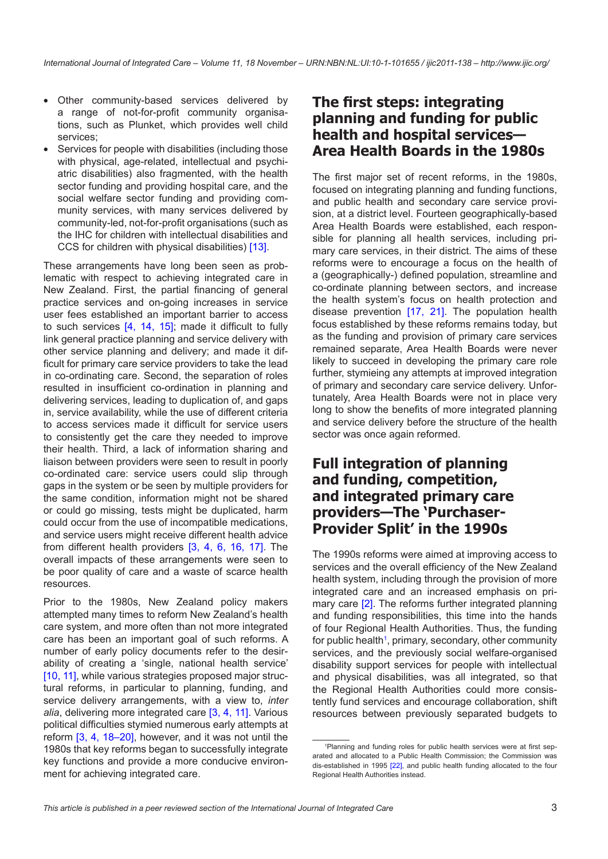- Other community-based services delivered by a range of not-for-profit community organisations, such as Plunket, which provides well child services;
- Services for people with disabilities (including those with physical, age-related, intellectual and psychiatric disabilities) also fragmented, with the health sector funding and providing hospital care, and the social welfare sector funding and providing community services, with many services delivered by community-led, not-for-profit organisations (such as the IHC for children with intellectual disabilities and CCS for children with physical disabilities) [\[13](#page-10-0)].

These arrangements have long been seen as problematic with respect to achieving integrated care in New Zealand. First, the partial financing of general practice services and on-going increases in service user fees established an important barrier to access to such services [[4](#page-10-0), [14,](#page-10-0) [15](#page-10-0)]; made it difficult to fully link general practice planning and service delivery with other service planning and delivery; and made it difficult for primary care service providers to take the lead in co-ordinating care. Second, the separation of roles resulted in insufficient co-ordination in planning and delivering services, leading to duplication of, and gaps in, service availability, while the use of different criteria to access services made it difficult for service users to consistently get the care they needed to improve their health. Third, a lack of information sharing and liaison between providers were seen to result in poorly co-ordinated care: service users could slip through gaps in the system or be seen by multiple providers for the same condition, information might not be shared or could go missing, tests might be duplicated, harm could occur from the use of incompatible medications, and service users might receive different health advice from different health providers [\[3,](#page-10-0) [4,](#page-10-0) [6](#page-10-0), [16,](#page-10-0) [17](#page-10-0)]. The overall impacts of these arrangements were seen to be poor quality of care and a waste of scarce health resources.

Prior to the 1980s, New Zealand policy makers attempted many times to reform New Zealand's health care system, and more often than not more integrated care has been an important goal of such reforms. A number of early policy documents refer to the desirability of creating a 'single, national health service' [\[10](#page-10-0), [11\]](#page-10-0), while various strategies proposed major structural reforms, in particular to planning, funding, and service delivery arrangements, with a view to, *inter alia*, delivering more integrated care [[3](#page-10-0), [4](#page-10-0), [11](#page-10-0)]. Various political difficulties stymied numerous early attempts at reform [\[3,](#page-10-0) [4,](#page-10-0) [18–20](#page-10-0)], however, and it was not until the 1980s that key reforms began to successfully integrate key functions and provide a more conducive environment for achieving integrated care.

### **The first steps: integrating planning and funding for public health and hospital services— Area Health Boards in the 1980s**

The first major set of recent reforms, in the 1980s, focused on integrating planning and funding functions, and public health and secondary care service provision, at a district level. Fourteen geographically-based Area Health Boards were established, each responsible for planning all health services, including primary care services, in their district. The aims of these reforms were to encourage a focus on the health of a (geographically-) defined population, streamline and co-ordinate planning between sectors, and increase the health system's focus on health protection and disease prevention [[17,](#page-10-0) [21](#page-11-0)]. The population health focus established by these reforms remains today, but as the funding and provision of primary care services remained separate, Area Health Boards were never likely to succeed in developing the primary care role further, stymieing any attempts at improved integration of primary and secondary care service delivery. Unfortunately, Area Health Boards were not in place very long to show the benefits of more integrated planning and service delivery before the structure of the health sector was once again reformed.

### **Full integration of planning and funding, competition, and integrated primary care providers—The 'Purchaser-Provider Split' in the 1990s**

The 1990s reforms were aimed at improving access to services and the overall efficiency of the New Zealand health system, including through the provision of more integrated care and an increased emphasis on primary care [[2](#page-10-0)]. The reforms further integrated planning and funding responsibilities, this time into the hands of four Regional Health Authorities. Thus, the funding for public health<sup>1</sup>, primary, secondary, other community services, and the previously social welfare-organised disability support services for people with intellectual and physical disabilities, was all integrated, so that the Regional Health Authorities could more consistently fund services and encourage collaboration, shift resources between previously separated budgets to

<sup>1</sup> Planning and funding roles for public health services were at first separated and allocated to a Public Health Commission; the Commission was dis-established in 1995 [\[22\]](#page-11-0), and public health funding allocated to the four Regional Health Authorities instead.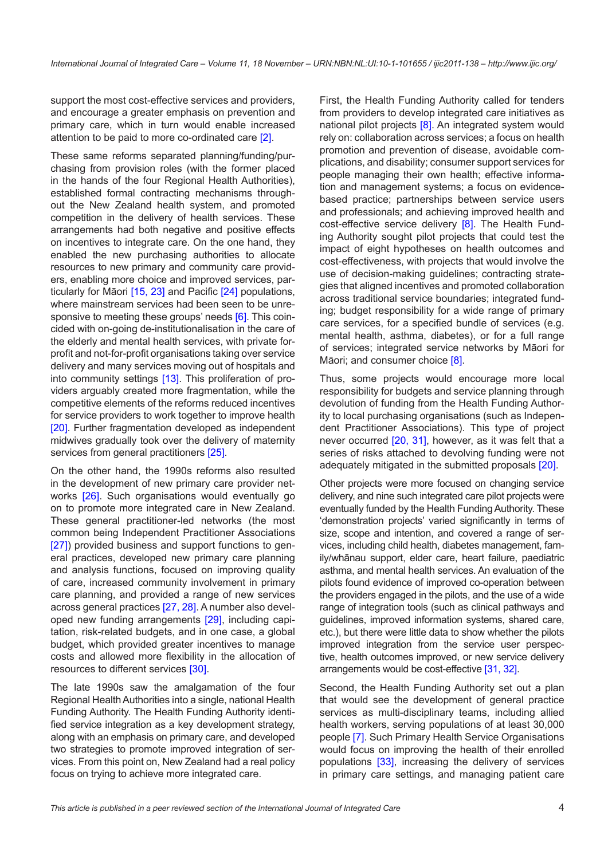support the most cost-effective services and providers, and encourage a greater emphasis on prevention and primary care, which in turn would enable increased attention to be paid to more co-ordinated care [\[2](#page-10-0)].

These same reforms separated planning/funding/purchasing from provision roles (with the former placed in the hands of the four Regional Health Authorities), established formal contracting mechanisms throughout the New Zealand health system, and promoted competition in the delivery of health services. These arrangements had both negative and positive effects on incentives to integrate care. On the one hand, they enabled the new purchasing authorities to allocate resources to new primary and community care providers, enabling more choice and improved services, particularly for Māori [\[15](#page-10-0), [23\]](#page-11-0) and Pacific [\[24](#page-11-0)] populations, where mainstream services had been seen to be unre-sponsive to meeting these groups' needs [\[6\]](#page-10-0). This coincided with on-going de-institutionalisation in the care of the elderly and mental health services, with private forprofit and not-for-profit organisations taking over service delivery and many services moving out of hospitals and into community settings [[13\]](#page-10-0). This proliferation of providers arguably created more fragmentation, while the competitive elements of the reforms reduced incentives for service providers to work together to improve health [\[20](#page-10-0)]. Further fragmentation developed as independent midwives gradually took over the delivery of maternity services from general practitioners [\[25](#page-11-0)].

On the other hand, the 1990s reforms also resulted in the development of new primary care provider net-works [\[26](#page-11-0)]. Such organisations would eventually go on to promote more integrated care in New Zealand. These general practitioner-led networks (the most common being Independent Practitioner Associations [\[27](#page-11-0)]) provided business and support functions to general practices, developed new primary care planning and analysis functions, focused on improving quality of care, increased community involvement in primary care planning, and provided a range of new services across general practices [\[27](#page-11-0), [28](#page-11-0)]. A number also developed new funding arrangements [\[29](#page-11-0)], including capitation, risk-related budgets, and in one case, a global budget, which provided greater incentives to manage costs and allowed more flexibility in the allocation of resources to different services [\[30](#page-11-0)].

The late 1990s saw the amalgamation of the four Regional Health Authorities into a single, national Health Funding Authority. The Health Funding Authority identified service integration as a key development strategy, along with an emphasis on primary care, and developed two strategies to promote improved integration of services. From this point on, New Zealand had a real policy focus on trying to achieve more integrated care.

First, the Health Funding Authority called for tenders from providers to develop integrated care initiatives as national pilot projects [\[8\]](#page-10-0). An integrated system would rely on: collaboration across services; a focus on health promotion and prevention of disease, avoidable complications, and disability; consumer support services for people managing their own health; effective information and management systems; a focus on evidencebased practice; partnerships between service users and professionals; and achieving improved health and cost-effective service delivery [\[8\]](#page-10-0). The Health Funding Authority sought pilot projects that could test the impact of eight hypotheses on health outcomes and cost-effectiveness, with projects that would involve the use of decision-making guidelines; contracting strategies that aligned incentives and promoted collaboration across traditional service boundaries; integrated funding; budget responsibility for a wide range of primary care services, for a specified bundle of services (e.g. mental health, asthma, diabetes), or for a full range of services; integrated service networks by Māori for Māori; and consumer choice [\[8\]](#page-10-0).

Thus, some projects would encourage more local responsibility for budgets and service planning through devolution of funding from the Health Funding Authority to local purchasing organisations (such as Independent Practitioner Associations). This type of project never occurred [[20,](#page-10-0) [31\]](#page-11-0), however, as it was felt that a series of risks attached to devolving funding were not adequately mitigated in the submitted proposals [[20\]](#page-10-0).

Other projects were more focused on changing service delivery, and nine such integrated care pilot projects were eventually funded by the Health Funding Authority. These 'demonstration projects' varied significantly in terms of size, scope and intention, and covered a range of services, including child health, diabetes management, family/whānau support, elder care, heart failure, paediatric asthma, and mental health services. An evaluation of the pilots found evidence of improved co-operation between the providers engaged in the pilots, and the use of a wide range of integration tools (such as clinical pathways and guidelines, improved information systems, shared care, etc.), but there were little data to show whether the pilots improved integration from the service user perspective, health outcomes improved, or new service delivery arrangements would be cost-effective [\[31, 32\]](#page-11-0).

Second, the Health Funding Authority set out a plan that would see the development of general practice services as multi-disciplinary teams, including allied health workers, serving populations of at least 30,000 people [\[7\]](#page-10-0). Such Primary Health Service Organisations would focus on improving the health of their enrolled populations [\[33](#page-11-0)], increasing the delivery of services in primary care settings, and managing patient care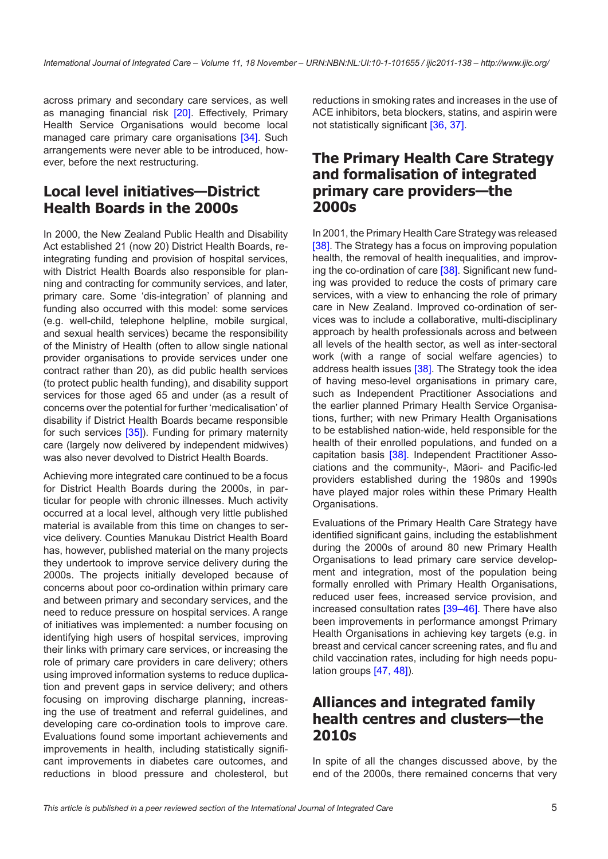across primary and secondary care services, as well as managing financial risk [\[20](#page-10-0)]. Effectively, Primary Health Service Organisations would become local managed care primary care organisations [[34\]](#page-11-0). Such arrangements were never able to be introduced, however, before the next restructuring.

### **Local level initiatives—District Health Boards in the 2000s**

In 2000, the New Zealand Public Health and Disability Act established 21 (now 20) District Health Boards, reintegrating funding and provision of hospital services, with District Health Boards also responsible for planning and contracting for community services, and later, primary care. Some 'dis-integration' of planning and funding also occurred with this model: some services (e.g. well-child, telephone helpline, mobile surgical, and sexual health services) became the responsibility of the Ministry of Health (often to allow single national provider organisations to provide services under one contract rather than 20), as did public health services (to protect public health funding), and disability support services for those aged 65 and under (as a result of concerns over the potential for further 'medicalisation' of disability if District Health Boards became responsible for such services [[35\]](#page-11-0)). Funding for primary maternity care (largely now delivered by independent midwives) was also never devolved to District Health Boards.

Achieving more integrated care continued to be a focus for District Health Boards during the 2000s, in particular for people with chronic illnesses. Much activity occurred at a local level, although very little published material is available from this time on changes to service delivery. Counties Manukau District Health Board has, however, published material on the many projects they undertook to improve service delivery during the 2000s. The projects initially developed because of concerns about poor co-ordination within primary care and between primary and secondary services, and the need to reduce pressure on hospital services. A range of initiatives was implemented: a number focusing on identifying high users of hospital services, improving their links with primary care services, or increasing the role of primary care providers in care delivery; others using improved information systems to reduce duplication and prevent gaps in service delivery; and others focusing on improving discharge planning, increasing the use of treatment and referral guidelines, and developing care co-ordination tools to improve care. Evaluations found some important achievements and improvements in health, including statistically significant improvements in diabetes care outcomes, and reductions in blood pressure and cholesterol, but reductions in smoking rates and increases in the use of ACE inhibitors, beta blockers, statins, and aspirin were not statistically significant [[36](#page-11-0), [37\]](#page-11-0).

#### **The Primary Health Care Strategy and formalisation of integrated primary care providers—the 2000s**

In 2001, the Primary Health Care Strategy was released [[38\]](#page-11-0). The Strategy has a focus on improving population health, the removal of health inequalities, and improv-ing the co-ordination of care [\[38](#page-11-0)]. Significant new funding was provided to reduce the costs of primary care services, with a view to enhancing the role of primary care in New Zealand. Improved co-ordination of services was to include a collaborative, multi-disciplinary approach by health professionals across and between all levels of the health sector, as well as inter-sectoral work (with a range of social welfare agencies) to address health issues [[38\]](#page-11-0). The Strategy took the idea of having meso-level organisations in primary care, such as Independent Practitioner Associations and the earlier planned Primary Health Service Organisations, further; with new Primary Health Organisations to be established nation-wide, held responsible for the health of their enrolled populations, and funded on a capitation basis [\[38](#page-11-0)]. Independent Practitioner Associations and the community-, Māori- and Pacific-led providers established during the 1980s and 1990s have played major roles within these Primary Health Organisations.

Evaluations of the Primary Health Care Strategy have identified significant gains, including the establishment during the 2000s of around 80 new Primary Health Organisations to lead primary care service development and integration, most of the population being formally enrolled with Primary Health Organisations, reduced user fees, increased service provision, and increased consultation rates [\[39](#page-11-0)–[46\]](#page-11-0). There have also been improvements in performance amongst Primary Health Organisations in achieving key targets (e.g. in breast and cervical cancer screening rates, and flu and child vaccination rates, including for high needs population groups [[47](#page-11-0), [48\]](#page-11-0)).

### **Alliances and integrated family health centres and clusters—the 2010s**

In spite of all the changes discussed above, by the end of the 2000s, there remained concerns that very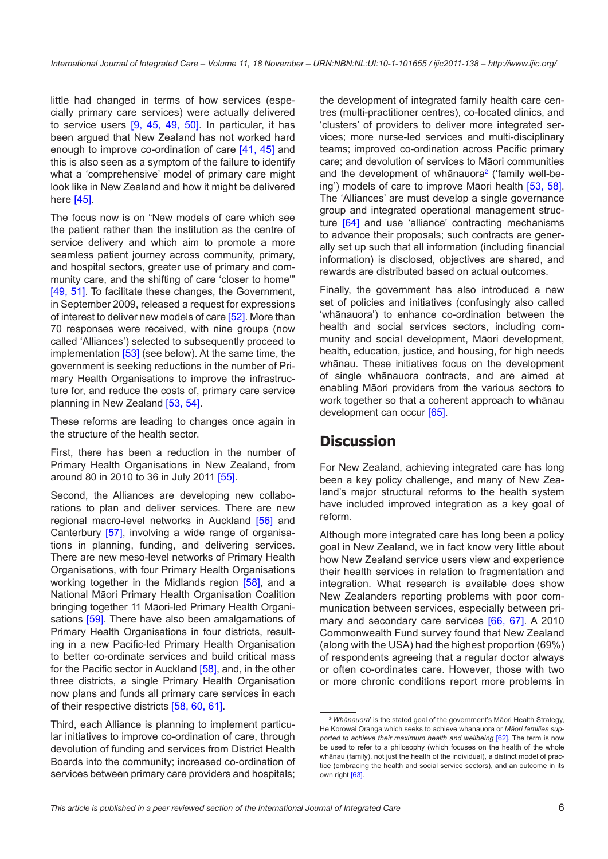little had changed in terms of how services (especially primary care services) were actually delivered to service users [[9,](#page-10-0) [45](#page-11-0), [49,](#page-11-0) [50](#page-11-0)]. In particular, it has been argued that New Zealand has not worked hard enough to improve co-ordination of care [\[41,](#page-11-0) [45](#page-11-0)] and this is also seen as a symptom of the failure to identify what a 'comprehensive' model of primary care might look like in New Zealand and how it might be delivered here [\[45\]](#page-11-0).

The focus now is on "New models of care which see the patient rather than the institution as the centre of service delivery and which aim to promote a more seamless patient journey across community, primary, and hospital sectors, greater use of primary and community care, and the shifting of care 'closer to home'" [\[49, 51\]](#page-11-0). To facilitate these changes, the Government, in September 2009, released a request for expressions of interest to deliver new models of care [\[52](#page-12-0)]. More than 70 responses were received, with nine groups (now called 'Alliances') selected to subsequently proceed to implementation [[53\]](#page-12-0) (see below). At the same time, the government is seeking reductions in the number of Primary Health Organisations to improve the infrastructure for, and reduce the costs of, primary care service planning in New Zealand [\[53](#page-12-0), [54](#page-12-0)].

These reforms are leading to changes once again in the structure of the health sector.

First, there has been a reduction in the number of Primary Health Organisations in New Zealand, from around 80 in 2010 to 36 in July 2011 [\[55](#page-12-0)].

Second, the Alliances are developing new collaborations to plan and deliver services. There are new regional macro-level networks in Auckland [\[56\]](#page-12-0) and Canterbury [\[57](#page-12-0)], involving a wide range of organisations in planning, funding, and delivering services. There are new meso-level networks of Primary Health Organisations, with four Primary Health Organisations working together in the Midlands region [[58](#page-12-0)], and a National Māori Primary Health Organisation Coalition bringing together 11 Māori-led Primary Health Organi-sations [\[59\]](#page-12-0). There have also been amalgamations of Primary Health Organisations in four districts, resulting in a new Pacific-led Primary Health Organisation to better co-ordinate services and build critical mass for the Pacific sector in Auckland [\[58](#page-12-0)], and, in the other three districts, a single Primary Health Organisation now plans and funds all primary care services in each of their respective districts [[58, 60, 61](#page-12-0)].

Third, each Alliance is planning to implement particular initiatives to improve co-ordination of care, through devolution of funding and services from District Health Boards into the community; increased co-ordination of services between primary care providers and hospitals; the development of integrated family health care centres (multi-practitioner centres), co-located clinics, and 'clusters' of providers to deliver more integrated services; more nurse-led services and multi-disciplinary teams; improved co-ordination across Pacific primary care; and devolution of services to Māori communities and the development of whānauora<sup>2</sup> ('family well-being') models of care to improve Māori health [[53,](#page-12-0) [58](#page-12-0)]. The 'Alliances' are must develop a single governance group and integrated operational management structure [\[64](#page-12-0)] and use 'alliance' contracting mechanisms to advance their proposals; such contracts are generally set up such that all information (including financial information) is disclosed, objectives are shared, and rewards are distributed based on actual outcomes.

Finally, the government has also introduced a new set of policies and initiatives (confusingly also called 'whānauora') to enhance co-ordination between the health and social services sectors, including community and social development, Māori development, health, education, justice, and housing, for high needs whānau. These initiatives focus on the development of single whānauora contracts, and are aimed at enabling Māori providers from the various sectors to work together so that a coherent approach to whānau development can occur [\[65](#page-12-0)].

## **Discussion**

For New Zealand, achieving integrated care has long been a key policy challenge, and many of New Zealand's major structural reforms to the health system have included improved integration as a key goal of reform.

Although more integrated care has long been a policy goal in New Zealand, we in fact know very little about how New Zealand service users view and experience their health services in relation to fragmentation and integration. What research is available does show New Zealanders reporting problems with poor communication between services, especially between primary and secondary care services [[66](#page-12-0), [67](#page-12-0)]. A 2010 Commonwealth Fund survey found that New Zealand (along with the USA) had the highest proportion (69%) of respondents agreeing that a regular doctor always or often co-ordinates care. However, those with two or more chronic conditions report more problems in

<sup>2</sup> '*Whānauora*' is the stated goal of the government's Māori Health Strategy, He Korowai Oranga which seeks to achieve whanauora or *Māori families supported to achieve their maximum health and wellbeing* [[62\]](#page-12-0). The term is now be used to refer to a philosophy (which focuses on the health of the whole whānau (family), not just the health of the individual), a distinct model of practice (embracing the health and social service sectors), and an outcome in its own right [[63](#page-12-0)].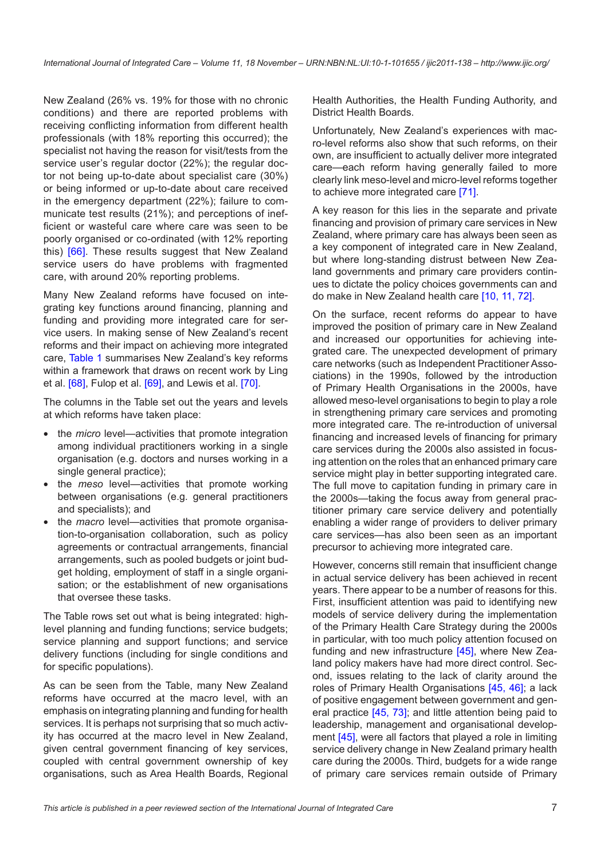New Zealand (26% vs. 19% for those with no chronic conditions) and there are reported problems with receiving conflicting information from different health professionals (with 18% reporting this occurred); the specialist not having the reason for visit/tests from the service user's regular doctor (22%); the regular doctor not being up-to-date about specialist care (30%) or being informed or up-to-date about care received in the emergency department (22%); failure to communicate test results (21%); and perceptions of inefficient or wasteful care where care was seen to be poorly organised or co-ordinated (with 12% reporting this) [\[66\]](#page-12-0). These results suggest that New Zealand service users do have problems with fragmented care, with around 20% reporting problems.

Many New Zealand reforms have focused on integrating key functions around financing, planning and funding and providing more integrated care for service users. In making sense of New Zealand's recent reforms and their impact on achieving more integrated care, [Table 1](#page-7-0) summarises New Zealand's key reforms within a framework that draws on recent work by Ling et al. [[68\]](#page-12-0), Fulop et al. [\[69](#page-12-0)], and Lewis et al. [[70\]](#page-12-0).

The columns in the Table set out the years and levels at which reforms have taken place:

- the *micro* level—activities that promote integration among individual practitioners working in a single organisation (e.g. doctors and nurses working in a single general practice);
- the *meso* level—activities that promote working between organisations (e.g. general practitioners and specialists); and
- the *macro* level—activities that promote organisation-to-organisation collaboration, such as policy agreements or contractual arrangements, financial arrangements, such as pooled budgets or joint budget holding, employment of staff in a single organisation; or the establishment of new organisations that oversee these tasks.

The Table rows set out what is being integrated: highlevel planning and funding functions; service budgets; service planning and support functions; and service delivery functions (including for single conditions and for specific populations).

As can be seen from the Table, many New Zealand reforms have occurred at the macro level, with an emphasis on integrating planning and funding for health services. It is perhaps not surprising that so much activity has occurred at the macro level in New Zealand, given central government financing of key services, coupled with central government ownership of key organisations, such as Area Health Boards, Regional Health Authorities, the Health Funding Authority, and District Health Boards.

Unfortunately, New Zealand's experiences with macro-level reforms also show that such reforms, on their own, are insufficient to actually deliver more integrated care—each reform having generally failed to more clearly link meso-level and micro-level reforms together to achieve more integrated care [\[71](#page-12-0)].

A key reason for this lies in the separate and private financing and provision of primary care services in New Zealand, where primary care has always been seen as a key component of integrated care in New Zealand, but where long-standing distrust between New Zealand governments and primary care providers continues to dictate the policy choices governments can and do make in New Zealand health care [[10, 11,](#page-10-0) [72](#page-12-0)].

On the surface, recent reforms do appear to have improved the position of primary care in New Zealand and increased our opportunities for achieving integrated care. The unexpected development of primary care networks (such as Independent Practitioner Associations) in the 1990s, followed by the introduction of Primary Health Organisations in the 2000s, have allowed meso-level organisations to begin to play a role in strengthening primary care services and promoting more integrated care. The re-introduction of universal financing and increased levels of financing for primary care services during the 2000s also assisted in focusing attention on the roles that an enhanced primary care service might play in better supporting integrated care. The full move to capitation funding in primary care in the 2000s—taking the focus away from general practitioner primary care service delivery and potentially enabling a wider range of providers to deliver primary care services—has also been seen as an important precursor to achieving more integrated care.

However, concerns still remain that insufficient change in actual service delivery has been achieved in recent years. There appear to be a number of reasons for this. First, insufficient attention was paid to identifying new models of service delivery during the implementation of the Primary Health Care Strategy during the 2000s in particular, with too much policy attention focused on funding and new infrastructure [\[45](#page-11-0)], where New Zealand policy makers have had more direct control. Second, issues relating to the lack of clarity around the roles of Primary Health Organisations [\[45](#page-11-0), [46\]](#page-11-0); a lack of positive engagement between government and general practice [\[45](#page-11-0), [73\]](#page-12-0); and little attention being paid to leadership, management and organisational develop-ment [\[45](#page-11-0)], were all factors that played a role in limiting service delivery change in New Zealand primary health care during the 2000s. Third, budgets for a wide range of primary care services remain outside of Primary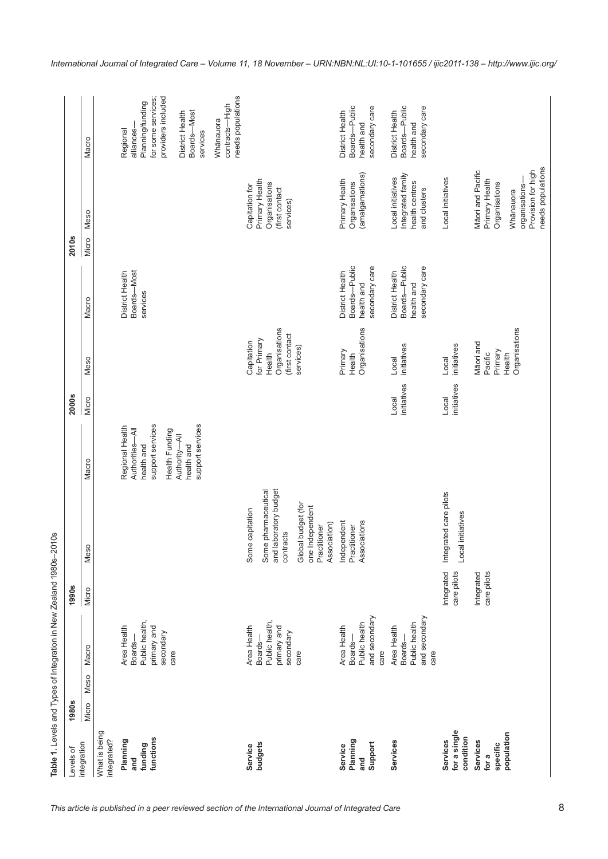| $\ddot{\phantom{0}}$<br>i<br>'<br>I<br>$\tilde{\zeta}$ |  |
|--------------------------------------------------------|--|
| $\frac{1}{2}$<br>I                                     |  |
| - 10 10 -<br>$\frac{3}{1}$                             |  |
| )<br>)<br>j                                            |  |

<span id="page-7-0"></span>

| evels of                              | <b>1980s</b> |      |                                                                  | 1990s                     |                                                                       |                                                                   | <b>2000s</b>         |                                    |                                                                  | <b>2010s</b>         |                                                                          |                                                                  |
|---------------------------------------|--------------|------|------------------------------------------------------------------|---------------------------|-----------------------------------------------------------------------|-------------------------------------------------------------------|----------------------|------------------------------------|------------------------------------------------------------------|----------------------|--------------------------------------------------------------------------|------------------------------------------------------------------|
| ntegration                            | Micro        | Meso | Macro                                                            | Micro                     | Meso                                                                  | Macro                                                             | Micro                | Meso                               | Macro                                                            | <b>Meso</b><br>Micro |                                                                          | Macro                                                            |
| What is being<br>ntegrated?           |              |      |                                                                  |                           |                                                                       |                                                                   |                      |                                    |                                                                  |                      |                                                                          |                                                                  |
| Planning<br>and                       |              |      | Area Health<br>Boards-                                           |                           |                                                                       | Regional Health<br>Authorities-All                                |                      |                                    | Boards-Most<br>District Health                                   |                      |                                                                          | alliances-<br>Regional                                           |
| funding                               |              |      | Public health,                                                   |                           |                                                                       | health and                                                        |                      |                                    | services                                                         |                      |                                                                          | Planning/funding                                                 |
| functions                             |              |      | primary and<br>secondary                                         |                           |                                                                       | support services                                                  |                      |                                    |                                                                  |                      |                                                                          | providers included<br>for some services;                         |
|                                       |              |      | care                                                             |                           |                                                                       | support services<br>Health Funding<br>Authority-All<br>health and |                      |                                    |                                                                  |                      |                                                                          | Boards-Most<br>District Health<br>services                       |
|                                       |              |      |                                                                  |                           |                                                                       |                                                                   |                      |                                    |                                                                  |                      |                                                                          | needs populations<br>contracts-High<br>Whānauora                 |
| Service                               |              |      | Area Health                                                      |                           | Some capitation                                                       |                                                                   |                      | Capitation                         |                                                                  |                      | Capitation for                                                           |                                                                  |
| budgets                               |              |      | Public health,<br>Boards-                                        |                           | Some pharmaceutical                                                   |                                                                   |                      | for Primary<br>Health              |                                                                  |                      | Primary Health<br>Organisations                                          |                                                                  |
|                                       |              |      | primary and<br>secondary                                         |                           | aboratory budget<br>contracts<br>and la                               |                                                                   |                      | Organisations<br>(first contact    |                                                                  |                      | (first contact<br>services)                                              |                                                                  |
|                                       |              |      | care                                                             |                           | Global budget (for<br>one Independent<br>Association)<br>Practitioner |                                                                   |                      | services)                          |                                                                  |                      |                                                                          |                                                                  |
| Service                               |              |      | Area Health                                                      |                           | Independent                                                           |                                                                   |                      | Primary                            | District Health                                                  |                      | Primary Health                                                           | District Health                                                  |
| Planning<br>and                       |              |      | Public health<br>Boards-                                         |                           | Associations<br>Practitioner                                          |                                                                   |                      | Organisations<br>Health            | Boards-Public<br>health and                                      |                      | (amalgamations)<br>Organisations                                         | Boards-Public<br>health and                                      |
| Support                               |              |      | and secondary<br>care                                            |                           |                                                                       |                                                                   |                      |                                    | secondary care                                                   |                      |                                                                          | secondary care                                                   |
| Services                              |              |      | and secondary<br>Public health<br>Area Health<br>Boards-<br>care |                           |                                                                       |                                                                   | initiatives<br>Local | initiatives<br>Local               | Boards-Public<br>secondary care<br>District Health<br>health and |                      | Integrated family<br>Local initiatives<br>health centres<br>and clusters | Boards-Public<br>secondary care<br>District Health<br>health and |
| for a single<br>condition<br>Services |              |      |                                                                  | Integrated<br>care pilots | Integrated care pilots<br>initiatives<br>Local                        |                                                                   | initiatives<br>Local | initiatives<br>Local               |                                                                  |                      | Local initiatives                                                        |                                                                  |
| Services<br>for a                     |              |      |                                                                  | Integrated<br>care pilots |                                                                       |                                                                   |                      | Māori and<br>Pacific               |                                                                  |                      | Māori and Pacific<br>Primary Health                                      |                                                                  |
| population<br>specific                |              |      |                                                                  |                           |                                                                       |                                                                   |                      | Organisations<br>Primary<br>Health |                                                                  |                      | Provision for high<br>Organisations<br>organisations-<br>Whānauora       |                                                                  |
|                                       |              |      |                                                                  |                           |                                                                       |                                                                   |                      |                                    |                                                                  |                      | needs populations                                                        |                                                                  |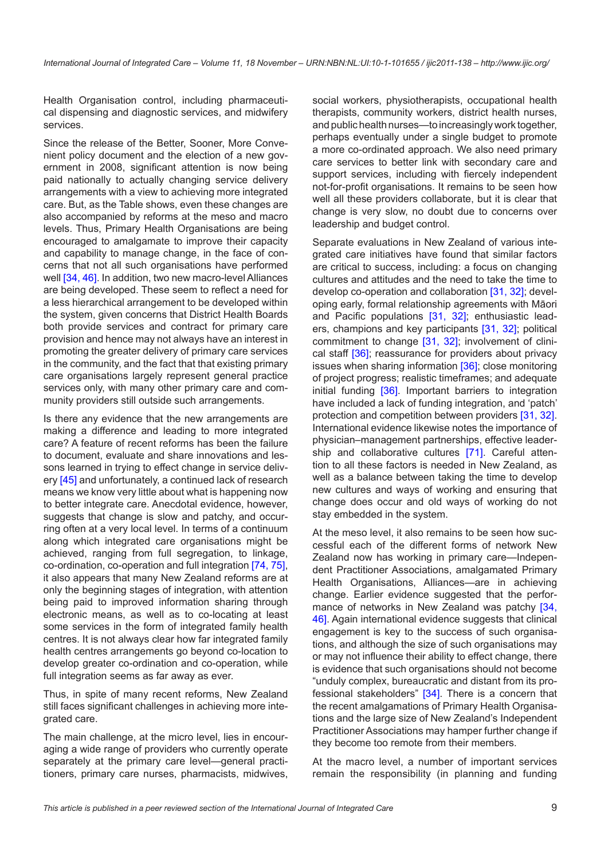Health Organisation control, including pharmaceutical dispensing and diagnostic services, and midwifery services.

Since the release of the Better, Sooner, More Convenient policy document and the election of a new government in 2008, significant attention is now being paid nationally to actually changing service delivery arrangements with a view to achieving more integrated care. But, as the Table shows, even these changes are also accompanied by reforms at the meso and macro levels. Thus, Primary Health Organisations are being encouraged to amalgamate to improve their capacity and capability to manage change, in the face of concerns that not all such organisations have performed well [[34, 46\]](#page-11-0). In addition, two new macro-level Alliances are being developed. These seem to reflect a need for a less hierarchical arrangement to be developed within the system, given concerns that District Health Boards both provide services and contract for primary care provision and hence may not always have an interest in promoting the greater delivery of primary care services in the community, and the fact that that existing primary care organisations largely represent general practice services only, with many other primary care and community providers still outside such arrangements.

Is there any evidence that the new arrangements are making a difference and leading to more integrated care? A feature of recent reforms has been the failure to document, evaluate and share innovations and lessons learned in trying to effect change in service delivery [\[45\]](#page-11-0) and unfortunately, a continued lack of research means we know very little about what is happening now to better integrate care. Anecdotal evidence, however, suggests that change is slow and patchy, and occurring often at a very local level. In terms of a continuum along which integrated care organisations might be achieved, ranging from full segregation, to linkage, co-ordination, co-operation and full integration [\[74](#page-12-0), [75](#page-12-0)], it also appears that many New Zealand reforms are at only the beginning stages of integration, with attention being paid to improved information sharing through electronic means, as well as to co-locating at least some services in the form of integrated family health centres. It is not always clear how far integrated family health centres arrangements go beyond co-location to develop greater co-ordination and co-operation, while full integration seems as far away as ever.

Thus, in spite of many recent reforms, New Zealand still faces significant challenges in achieving more integrated care.

The main challenge, at the micro level, lies in encouraging a wide range of providers who currently operate separately at the primary care level—general practitioners, primary care nurses, pharmacists, midwives,

social workers, physiotherapists, occupational health therapists, community workers, district health nurses, and public health nurses—to increasingly work together, perhaps eventually under a single budget to promote a more co-ordinated approach. We also need primary care services to better link with secondary care and support services, including with fiercely independent not-for-profit organisations. It remains to be seen how well all these providers collaborate, but it is clear that change is very slow, no doubt due to concerns over leadership and budget control.

Separate evaluations in New Zealand of various integrated care initiatives have found that similar factors are critical to success, including: a focus on changing cultures and attitudes and the need to take the time to develop co-operation and collaboration [[31, 32](#page-11-0)]; developing early, formal relationship agreements with Māori and Pacific populations [\[31](#page-11-0), [32\]](#page-11-0); enthusiastic leaders, champions and key participants [[31,](#page-11-0) [32](#page-11-0)]; political commitment to change [[31,](#page-11-0) [32\]](#page-11-0); involvement of clini-cal staff [\[36](#page-11-0)]; reassurance for providers about privacy issues when sharing information [[36\]](#page-11-0); close monitoring of project progress; realistic timeframes; and adequate initial funding [[36\]](#page-11-0). Important barriers to integration have included a lack of funding integration, and 'patch' protection and competition between providers [[31, 32](#page-11-0)]. International evidence likewise notes the importance of physician–management partnerships, effective leader-ship and collaborative cultures [\[71](#page-12-0)]. Careful attention to all these factors is needed in New Zealand, as well as a balance between taking the time to develop new cultures and ways of working and ensuring that change does occur and old ways of working do not stay embedded in the system.

At the meso level, it also remains to be seen how successful each of the different forms of network New Zealand now has working in primary care—Independent Practitioner Associations, amalgamated Primary Health Organisations, Alliances—are in achieving change. Earlier evidence suggested that the perfor-mance of networks in New Zealand was patchy [[34,](#page-11-0) [46](#page-11-0)]. Again international evidence suggests that clinical engagement is key to the success of such organisations, and although the size of such organisations may or may not influence their ability to effect change, there is evidence that such organisations should not become "unduly complex, bureaucratic and distant from its professional stakeholders" [[34\]](#page-11-0). There is a concern that the recent amalgamations of Primary Health Organisations and the large size of New Zealand's Independent Practitioner Associations may hamper further change if they become too remote from their members.

At the macro level, a number of important services remain the responsibility (in planning and funding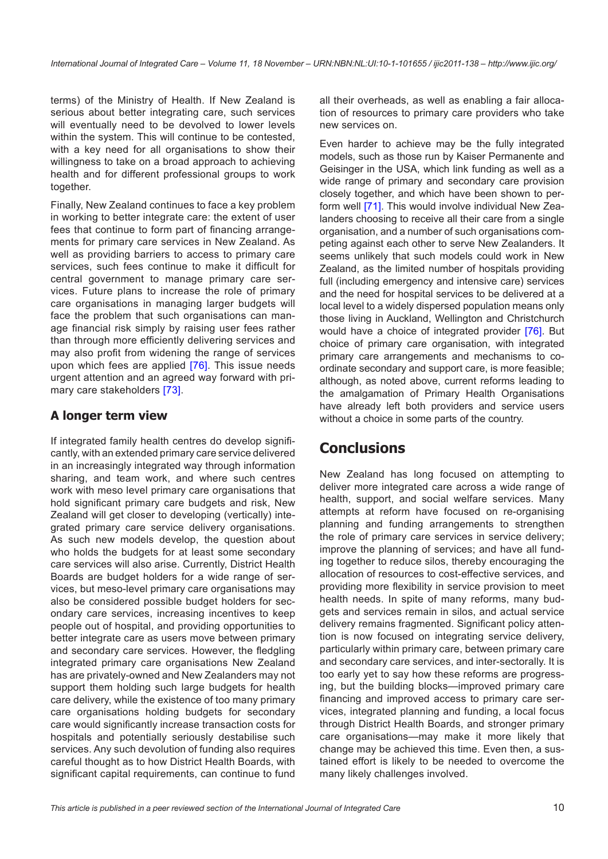terms) of the Ministry of Health. If New Zealand is serious about better integrating care, such services will eventually need to be devolved to lower levels within the system. This will continue to be contested, with a key need for all organisations to show their willingness to take on a broad approach to achieving health and for different professional groups to work together.

Finally, New Zealand continues to face a key problem in working to better integrate care: the extent of user fees that continue to form part of financing arrangements for primary care services in New Zealand. As well as providing barriers to access to primary care services, such fees continue to make it difficult for central government to manage primary care services. Future plans to increase the role of primary care organisations in managing larger budgets will face the problem that such organisations can manage financial risk simply by raising user fees rather than through more efficiently delivering services and may also profit from widening the range of services upon which fees are applied [[76](#page-12-0)]. This issue needs urgent attention and an agreed way forward with primary care stakeholders [[73](#page-12-0)].

#### **A longer term view**

If integrated family health centres do develop significantly, with an extended primary care service delivered in an increasingly integrated way through information sharing, and team work, and where such centres work with meso level primary care organisations that hold significant primary care budgets and risk, New Zealand will get closer to developing (vertically) integrated primary care service delivery organisations. As such new models develop, the question about who holds the budgets for at least some secondary care services will also arise. Currently, District Health Boards are budget holders for a wide range of services, but meso-level primary care organisations may also be considered possible budget holders for secondary care services, increasing incentives to keep people out of hospital, and providing opportunities to better integrate care as users move between primary and secondary care services. However, the fledgling integrated primary care organisations New Zealand has are privately-owned and New Zealanders may not support them holding such large budgets for health care delivery, while the existence of too many primary care organisations holding budgets for secondary care would significantly increase transaction costs for hospitals and potentially seriously destabilise such services. Any such devolution of funding also requires careful thought as to how District Health Boards, with significant capital requirements, can continue to fund all their overheads, as well as enabling a fair allocation of resources to primary care providers who take new services on.

Even harder to achieve may be the fully integrated models, such as those run by Kaiser Permanente and Geisinger in the USA, which link funding as well as a wide range of primary and secondary care provision closely together, and which have been shown to perform well [\[71](#page-12-0)]. This would involve individual New Zealanders choosing to receive all their care from a single organisation, and a number of such organisations competing against each other to serve New Zealanders. It seems unlikely that such models could work in New Zealand, as the limited number of hospitals providing full (including emergency and intensive care) services and the need for hospital services to be delivered at a local level to a widely dispersed population means only those living in Auckland, Wellington and Christchurch would have a choice of integrated provider [[76\]](#page-12-0). But choice of primary care organisation, with integrated primary care arrangements and mechanisms to coordinate secondary and support care, is more feasible; although, as noted above, current reforms leading to the amalgamation of Primary Health Organisations have already left both providers and service users without a choice in some parts of the country.

# **Conclusions**

New Zealand has long focused on attempting to deliver more integrated care across a wide range of health, support, and social welfare services. Many attempts at reform have focused on re-organising planning and funding arrangements to strengthen the role of primary care services in service delivery; improve the planning of services; and have all funding together to reduce silos, thereby encouraging the allocation of resources to cost-effective services, and providing more flexibility in service provision to meet health needs. In spite of many reforms, many budgets and services remain in silos, and actual service delivery remains fragmented. Significant policy attention is now focused on integrating service delivery, particularly within primary care, between primary care and secondary care services, and inter-sectorally. It is too early yet to say how these reforms are progressing, but the building blocks—improved primary care financing and improved access to primary care services, integrated planning and funding, a local focus through District Health Boards, and stronger primary care organisations—may make it more likely that change may be achieved this time. Even then, a sustained effort is likely to be needed to overcome the many likely challenges involved.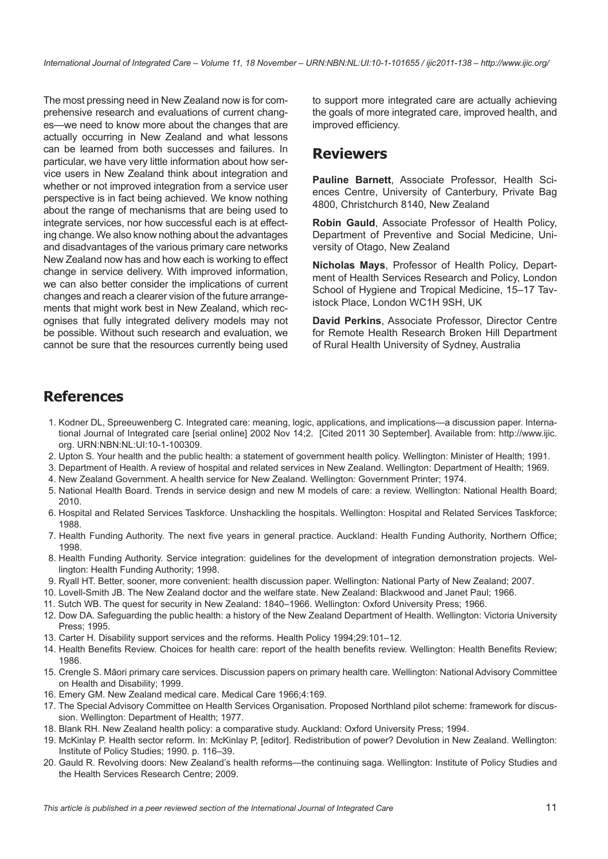<span id="page-10-0"></span>The most pressing need in New Zealand now is for comprehensive research and evaluations of current changes—we need to know more about the changes that are actually occurring in New Zealand and what lessons can be learned from both successes and failures. In particular, we have very little information about how service users in New Zealand think about integration and whether or not improved integration from a service user perspective is in fact being achieved. We know nothing about the range of mechanisms that are being used to integrate services, nor how successful each is at effecting change. We also know nothing about the advantages and disadvantages of the various primary care networks New Zealand now has and how each is working to effect change in service delivery. With improved information, we can also better consider the implications of current changes and reach a clearer vision of the future arrangements that might work best in New Zealand, which recognises that fully integrated delivery models may not be possible. Without such research and evaluation, we cannot be sure that the resources currently being used

to support more integrated care are actually achieving the goals of more integrated care, improved health, and improved efficiency.

#### **Reviewers**

**Pauline Barnett**, Associate Professor, Health Sciences Centre, University of Canterbury, Private Bag 4800, Christchurch 8140, New Zealand

**Robin Gauld**, Associate Professor of Health Policy, Department of Preventive and Social Medicine, University of Otago, New Zealand

**Nicholas Mays**, Professor of Health Policy, Department of Health Services Research and Policy, London School of Hygiene and Tropical Medicine, 15–17 Tavistock Place, London WC1H 9SH, UK

**David Perkins**, Associate Professor, Director Centre for Remote Health Research Broken Hill Department of Rural Health University of Sydney, Australia

### **References**

- 1. Kodner DL, Spreeuwenberg C. Integrated care: meaning, logic, applications, and implications—a discussion paper. International Journal of Integrated care [serial online] 2002 Nov 14;2. [Cited 2011 30 September]. Available from: [http://www.ijic.](http://www.ijic.org) [org.](http://www.ijic.org) [URN:NBN:NL:UI:10-1-100309.](http://persistent-identifier.nl/?identifier=URN:NBN:NL:UI:10-1-100309)
- 2. Upton S. Your health and the public health: a statement of government health policy. Wellington: Minister of Health; 1991.
- 3. Department of Health. A review of hospital and related services in New Zealand. Wellington: Department of Health; 1969.
- 4. New Zealand Government. A health service for New Zealand. Wellington: Government Printer; 1974.
- 5. National Health Board. Trends in service design and new M models of care: a review. Wellington: National Health Board; 2010.
- 6. Hospital and Related Services Taskforce. Unshackling the hospitals. Wellington: Hospital and Related Services Taskforce; 1988.
- 7. Health Funding Authority. The next five years in general practice. Auckland: Health Funding Authority, Northern Office; 1998.
- 8. Health Funding Authority. Service integration: guidelines for the development of integration demonstration projects. Wellington: Health Funding Authority; 1998.
- 9. Ryall HT. Better, sooner, more convenient: health discussion paper. Wellington: National Party of New Zealand; 2007.
- 10. Lovell-Smith JB. The New Zealand doctor and the welfare state. New Zealand: Blackwood and Janet Paul; 1966.
- 11. Sutch WB. The quest for security in New Zealand: 1840–1966. Wellington: Oxford University Press; 1966.
- 12. Dow DA. Safeguarding the public health: a history of the New Zealand Department of Health. Wellington: Victoria University Press; 1995.
- 13. Carter H. Disability support services and the reforms. Health Policy 1994;29:101–12.
- 14. Health Benefits Review. Choices for health care: report of the health benefits review. Wellington: Health Benefits Review; 1986.
- 15. Crengle S. Māori primary care services. Discussion papers on primary health care. Wellington: National Advisory Committee on Health and Disability; 1999.
- 16. Emery GM. New Zealand medical care. Medical Care 1966;4:169.
- 17. The Special Advisory Committee on Health Services Organisation. Proposed Northland pilot scheme: framework for discussion. Wellington: Department of Health; 1977.
- 18. Blank RH. New Zealand health policy: a comparative study. Auckland: Oxford University Press; 1994.
- 19. McKinlay P. Health sector reform. In: McKinlay P, [editor]. Redistribution of power? Devolution in New Zealand. Wellington: Institute of Policy Studies; 1990. p. 116–39.
- 20. Gauld R. Revolving doors: New Zealand's health reforms—the continuing saga. Wellington: Institute of Policy Studies and the Health Services Research Centre; 2009.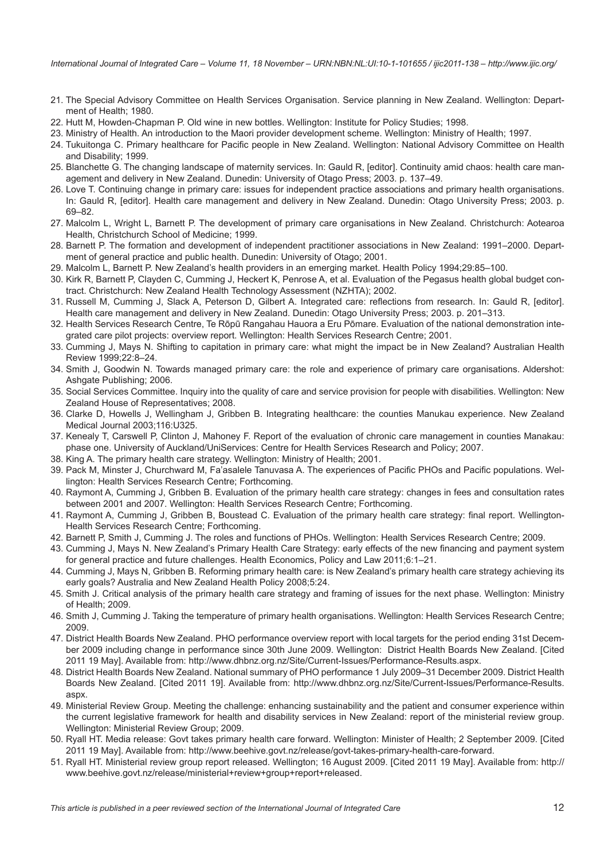<span id="page-11-0"></span>*International Journal of Integrated Care – Volume 11, 18 November – URN:NBN:NL:UI:10-1-101655 / ijic2011-138 – http://www.ijic.org/*

- 21. The Special Advisory Committee on Health Services Organisation. Service planning in New Zealand. Wellington: Department of Health; 1980.
- 22. Hutt M, Howden-Chapman P. Old wine in new bottles. Wellington: Institute for Policy Studies; 1998.
- 23. Ministry of Health. An introduction to the Maori provider development scheme. Wellington: Ministry of Health; 1997.
- 24. Tukuitonga C. Primary healthcare for Pacific people in New Zealand. Wellington: National Advisory Committee on Health and Disability; 1999.
- 25. Blanchette G. The changing landscape of maternity services. In: Gauld R, [editor]. Continuity amid chaos: health care management and delivery in New Zealand. Dunedin: University of Otago Press; 2003. p. 137–49.
- 26. Love T. Continuing change in primary care: issues for independent practice associations and primary health organisations. In: Gauld R, [editor]. Health care management and delivery in New Zealand. Dunedin: Otago University Press; 2003. p. 69–82.
- 27. Malcolm L, Wright L, Barnett P. The development of primary care organisations in New Zealand. Christchurch: Aotearoa Health, Christchurch School of Medicine; 1999.
- 28. Barnett P. The formation and development of independent practitioner associations in New Zealand: 1991–2000. Department of general practice and public health. Dunedin: University of Otago; 2001.
- 29. Malcolm L, Barnett P. New Zealand's health providers in an emerging market. Health Policy 1994;29:85–100.
- 30. Kirk R, Barnett P, Clayden C, Cumming J, Heckert K, Penrose A, et al. Evaluation of the Pegasus health global budget contract. Christchurch: New Zealand Health Technology Assessment (NZHTA); 2002.
- 31. Russell M, Cumming J, Slack A, Peterson D, Gilbert A. Integrated care: reflections from research. In: Gauld R, [editor]. Health care management and delivery in New Zealand. Dunedin: Otago University Press; 2003. p. 201–313.
- 32. Health Services Research Centre, Te Rōpū Rangahau Hauora a Eru Pōmare. Evaluation of the national demonstration integrated care pilot projects: overview report. Wellington: Health Services Research Centre; 2001.
- 33. Cumming J, Mays N. Shifting to capitation in primary care: what might the impact be in New Zealand? Australian Health Review 1999;22:8–24.
- 34. Smith J, Goodwin N. Towards managed primary care: the role and experience of primary care organisations. Aldershot: Ashgate Publishing; 2006.
- 35. Social Services Committee. Inquiry into the quality of care and service provision for people with disabilities. Wellington: New Zealand House of Representatives; 2008.
- 36. Clarke D, Howells J, Wellingham J, Gribben B. Integrating healthcare: the counties Manukau experience. New Zealand Medical Journal 2003;116:U325.
- 37. Kenealy T, Carswell P, Clinton J, Mahoney F. Report of the evaluation of chronic care management in counties Manakau: phase one. University of Auckland/UniServices: Centre for Health Services Research and Policy; 2007.
- 38. King A. The primary health care strategy. Wellington: Ministry of Health; 2001.
- 39. Pack M, Minster J, Churchward M, Fa'asalele Tanuvasa A. The experiences of Pacific PHOs and Pacific populations. Wellington: Health Services Research Centre; Forthcoming.
- 40. Raymont A, Cumming J, Gribben B. Evaluation of the primary health care strategy: changes in fees and consultation rates between 2001 and 2007. Wellington: Health Services Research Centre; Forthcoming.
- 41. Raymont A, Cumming J, Gribben B, Boustead C. Evaluation of the primary health care strategy: final report. Wellington-Health Services Research Centre; Forthcoming.
- 42. Barnett P, Smith J, Cumming J. The roles and functions of PHOs. Wellington: Health Services Research Centre; 2009.
- 43. Cumming J, Mays N. New Zealand's Primary Health Care Strategy: early effects of the new financing and payment system for general practice and future challenges. Health Economics, Policy and Law 2011;6:1–21.
- 44. Cumming J, Mays N, Gribben B. Reforming primary health care: is New Zealand's primary health care strategy achieving its early goals? Australia and New Zealand Health Policy 2008;5:24.
- 45. Smith J. Critical analysis of the primary health care strategy and framing of issues for the next phase. Wellington: Ministry of Health; 2009.
- 46. Smith J, Cumming J. Taking the temperature of primary health organisations. Wellington: Health Services Research Centre; 2009.
- 47. District Health Boards New Zealand. PHO performance overview report with local targets for the period ending 31st December 2009 including change in performance since 30th June 2009. Wellington: District Health Boards New Zealand. [Cited 2011 19 May]. Available from: [http://www.dhbnz.org.nz/Site/Current-Issues/Performance-Results.aspx.](http://www.dhbnz.org.nz/Site/Current-Issues/Performance-Results.aspx)
- 48. District Health Boards New Zealand. National summary of PHO performance 1 July 2009–31 December 2009. District Health Boards New Zealand. [Cited 2011 19]. Available from: [http://www.dhbnz.org.nz/Site/Current-Issues/Performance-Results.](http://www.dhbnz.org.nz/Site/Current-Issues/Performance-Results.aspx) [aspx.](http://www.dhbnz.org.nz/Site/Current-Issues/Performance-Results.aspx)
- 49. Ministerial Review Group. Meeting the challenge: enhancing sustainability and the patient and consumer experience within the current legislative framework for health and disability services in New Zealand: report of the ministerial review group. Wellington: Ministerial Review Group; 2009.
- 50. Ryall HT. Media release: Govt takes primary health care forward. Wellington: Minister of Health; 2 September 2009. [Cited 2011 19 May]. Available from: [http://www.beehive.govt.nz/release/govt-takes-primary-health-care-forward.](http://www.beehive.govt.nz/release/govt-takes-primary-health-care-forward)
- 51. Ryall HT. Ministerial review group report released. Wellington; 16 August 2009. [Cited 2011 19 May]. Available from: [http://](http://www.beehive.govt.nz/release/ministerial+review+group+report+released) [www.beehive.govt.nz/release/ministerial+review+group+report+released](http://www.beehive.govt.nz/release/ministerial+review+group+report+released).